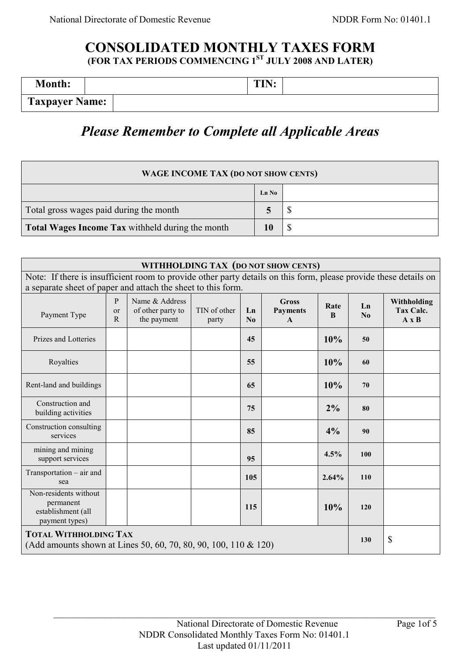# **CONSOLIDATED MONTHLY TAXES FORM (FOR TAX PERIODS COMMENCING 1ST JULY 2008 AND LATER)**

| <b>Month:</b>         | TIN<br>. LL |
|-----------------------|-------------|
| <b>Taxpayer Name:</b> |             |

# *Please Remember to Complete all Applicable Areas*

| <b>WAGE INCOME TAX (DO NOT SHOW CENTS)</b>       |       |  |  |  |
|--------------------------------------------------|-------|--|--|--|
|                                                  | Ln No |  |  |  |
| Total gross wages paid during the month          |       |  |  |  |
| Total Wages Income Tax withheld during the month |       |  |  |  |

| WITHHOLDING TAX (DO NOT SHOW CENTS)                                                                                                                                              |                          |                                                    |                       |                 |                                                 |           |            |                                          |
|----------------------------------------------------------------------------------------------------------------------------------------------------------------------------------|--------------------------|----------------------------------------------------|-----------------------|-----------------|-------------------------------------------------|-----------|------------|------------------------------------------|
| Note: If there is insufficient room to provide other party details on this form, please provide these details on<br>a separate sheet of paper and attach the sheet to this form. |                          |                                                    |                       |                 |                                                 |           |            |                                          |
|                                                                                                                                                                                  |                          |                                                    |                       |                 |                                                 |           |            |                                          |
| Payment Type                                                                                                                                                                     | P<br><sub>or</sub><br>R. | Name & Address<br>of other party to<br>the payment | TIN of other<br>party | Ln<br>$\bf N_0$ | <b>Gross</b><br><b>Payments</b><br>$\mathbf{A}$ | Rate<br>B | Ln<br>No   | Withholding<br>Tax Calc.<br>$A \times B$ |
| Prizes and Lotteries                                                                                                                                                             |                          |                                                    |                       | 45              |                                                 | 10%       | 50         |                                          |
| Royalties                                                                                                                                                                        |                          |                                                    |                       | 55              |                                                 | 10%       | 60         |                                          |
| Rent-land and buildings                                                                                                                                                          |                          |                                                    |                       | 65              |                                                 | 10%       | 70         |                                          |
| Construction and<br>building activities                                                                                                                                          |                          |                                                    |                       | 75              |                                                 | $2\%$     | 80         |                                          |
| Construction consulting<br>services                                                                                                                                              |                          |                                                    |                       | 85              |                                                 | 4%        | 90         |                                          |
| mining and mining<br>support services                                                                                                                                            |                          |                                                    |                       | 95              |                                                 | 4.5%      | 100        |                                          |
| $Transportation - air$ and<br>sea                                                                                                                                                |                          |                                                    |                       | 105             |                                                 | 2.64%     | <b>110</b> |                                          |
| Non-residents without<br>permanent<br>establishment (all<br>payment types)                                                                                                       |                          |                                                    |                       | 115             |                                                 | 10%       | 120        |                                          |
| <b>TOTAL WITHHOLDING TAX</b><br>(Add amounts shown at Lines 50, 60, 70, 80, 90, 100, 110 & 120)                                                                                  |                          |                                                    |                       |                 | 130                                             | \$        |            |                                          |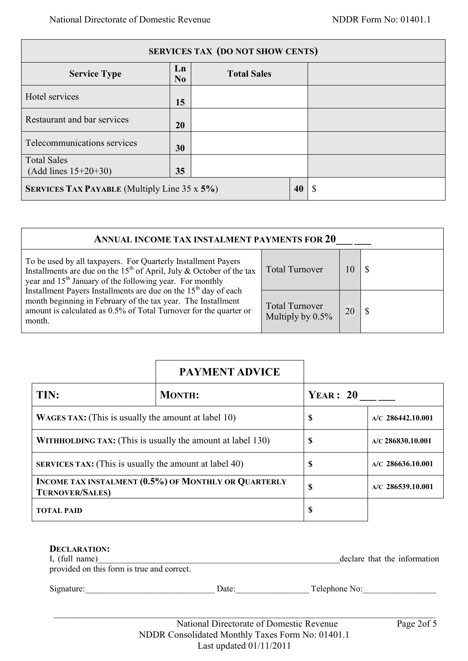| <b>SERVICES TAX (DO NOT SHOW CENTS)</b>             |                      |                    |    |  |
|-----------------------------------------------------|----------------------|--------------------|----|--|
| <b>Service Type</b>                                 | Ln<br>N <sub>0</sub> | <b>Total Sales</b> |    |  |
| Hotel services                                      | 15                   |                    |    |  |
| Restaurant and bar services                         | 20                   |                    |    |  |
| Telecommunications services                         | 30                   |                    |    |  |
| <b>Total Sales</b>                                  |                      |                    |    |  |
| $(Add lines 15+20+30)$                              | 35                   |                    |    |  |
| <b>SERVICES TAX PAYABLE</b> (Multiply Line 35 x 5%) |                      |                    | 40 |  |

| ANNUAL INCOME TAX INSTALMENT PAYMENTS FOR 20                                                                                                                                                                               |                                              |    |  |  |
|----------------------------------------------------------------------------------------------------------------------------------------------------------------------------------------------------------------------------|----------------------------------------------|----|--|--|
| To be used by all taxpayers. For Quarterly Installment Payers<br>Installments are due on the 15 <sup>th</sup> of April, July & October of the tax<br>year and 15 <sup>th</sup> January of the following year. For monthly  | <b>Total Turnover</b>                        | l0 |  |  |
| Installment Payers Installments are due on the 15 <sup>th</sup> day of each<br>month beginning in February of the tax year. The Installment<br>amount is calculated as 0.5% of Total Turnover for the quarter or<br>month. | <b>Total Turnover</b><br>Multiply by $0.5\%$ | 20 |  |  |

|                                                                                | <b>PAYMENT ADVICE</b> |                     |  |
|--------------------------------------------------------------------------------|-----------------------|---------------------|--|
| TIN:                                                                           | <b>MONTH:</b>         | YEAR: 20            |  |
| <b>WAGES TAX:</b> (This is usually the amount at label 10)                     | \$                    | $A/C$ 286442.10.001 |  |
| <b>WITHHOLDING TAX:</b> (This is usually the amount at label 130)              | \$                    | $A/C$ 286830.10.001 |  |
| <b>SERVICES TAX:</b> (This is usually the amount at label 40)                  | \$                    | $A/C$ 286636.10.001 |  |
| INCOME TAX INSTALMENT (0.5%) OF MONTHLY OR QUARTERLY<br><b>TURNOVER/SALES)</b> | \$                    | $A/C$ 286539.10.001 |  |
| <b>TOTAL PAID</b>                                                              | \$                    |                     |  |

| <b>DECLARATION:</b><br>I, (full name)<br>provided on this form is true and correct. | declare that the information |
|-------------------------------------------------------------------------------------|------------------------------|
| Signature:                                                                          | Telephone No:                |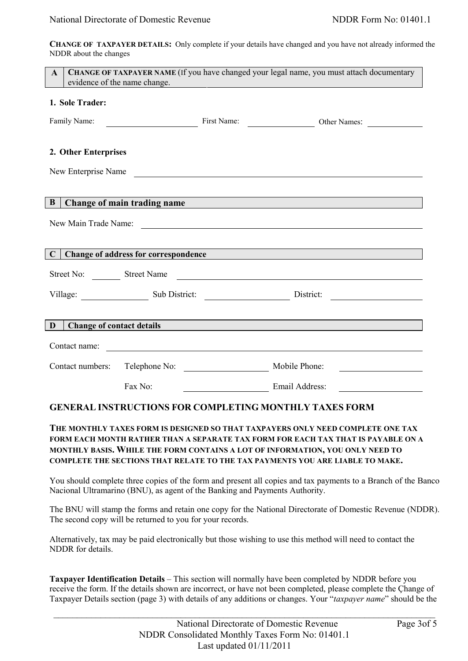**CHANGE OF TAXPAYER DETAILS:** Only complete if your details have changed and you have not already informed the NDDR about the changes

| <b>CHANGE OF TAXPAYER NAME</b> (If you have changed your legal name, you must attach documentary<br>$\mathbf{A}$<br>evidence of the name change.                            |                                                                                                                      |             |                                                      |  |  |
|-----------------------------------------------------------------------------------------------------------------------------------------------------------------------------|----------------------------------------------------------------------------------------------------------------------|-------------|------------------------------------------------------|--|--|
| 1. Sole Trader:                                                                                                                                                             |                                                                                                                      |             |                                                      |  |  |
| Family Name:                                                                                                                                                                |                                                                                                                      | First Name: | Other Names:                                         |  |  |
| 2. Other Enterprises                                                                                                                                                        |                                                                                                                      |             |                                                      |  |  |
|                                                                                                                                                                             | New Enterprise Name                                                                                                  |             |                                                      |  |  |
| B                                                                                                                                                                           |                                                                                                                      |             |                                                      |  |  |
| Change of main trading name<br>New Main Trade Name:<br><u> 1989 - Johann John Stein, markin fan it ferstjer fan de ferstjer fan it ferstjer fan it ferstjer fan it fers</u> |                                                                                                                      |             |                                                      |  |  |
| Change of address for correspondence<br>$\mathbf C$                                                                                                                         |                                                                                                                      |             |                                                      |  |  |
|                                                                                                                                                                             |                                                                                                                      |             | Street No: Street Name                               |  |  |
|                                                                                                                                                                             |                                                                                                                      |             | Village: Sub District: District: District: District: |  |  |
|                                                                                                                                                                             |                                                                                                                      |             |                                                      |  |  |
| <b>Change of contact details</b><br>D                                                                                                                                       |                                                                                                                      |             |                                                      |  |  |
| Contact name:                                                                                                                                                               | <u> 1980 - Jan Samuel Barbara, martin din shekara ta 1980 - An tsara tsara tsara tsara tsara tsara tsara tsara t</u> |             |                                                      |  |  |
| Contact numbers:                                                                                                                                                            | Telephone No:                                                                                                        |             | Mobile Phone:                                        |  |  |
|                                                                                                                                                                             | Fax No:                                                                                                              |             | Email Address:                                       |  |  |

# **GENERAL INSTRUCTIONS FOR COMPLETING MONTHLY TAXES FORM**

# **THE MONTHLY TAXES FORM IS DESIGNED SO THAT TAXPAYERS ONLY NEED COMPLETE ONE TAX FORM EACH MONTH RATHER THAN A SEPARATE TAX FORM FOR EACH TAX THAT IS PAYABLE ON A MONTHLY BASIS. WHILE THE FORM CONTAINS A LOT OF INFORMATION, YOU ONLY NEED TO COMPLETE THE SECTIONS THAT RELATE TO THE TAX PAYMENTS YOU ARE LIABLE TO MAKE.**

You should complete three copies of the form and present all copies and tax payments to a Branch of the Banco Nacional Ultramarino (BNU), as agent of the Banking and Payments Authority.

The BNU will stamp the forms and retain one copy for the National Directorate of Domestic Revenue (NDDR). The second copy will be returned to you for your records.

Alternatively, tax may be paid electronically but those wishing to use this method will need to contact the NDDR for details.

**Taxpayer Identification Details** – This section will normally have been completed by NDDR before you receive the form. If the details shown are incorrect, or have not been completed, please complete the Çhange of Taxpayer Details section (page 3) with details of any additions or changes. Your "*taxpayer name*" should be the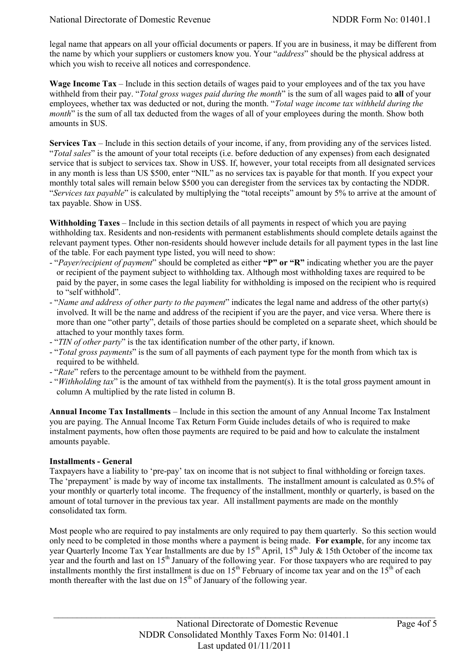legal name that appears on all your official documents or papers. If you are in business, it may be different from the name by which your suppliers or customers know you. Your "*address*" should be the physical address at which you wish to receive all notices and correspondence.

**Wage Income Tax** – Include in this section details of wages paid to your employees and of the tax you have withheld from their pay. "*Total gross wages paid during the month*" is the sum of all wages paid to **all** of your employees, whether tax was deducted or not, during the month. "*Total wage income tax withheld during the month*" is the sum of all tax deducted from the wages of all of your employees during the month. Show both amounts in \$US.

**Services Tax** – Include in this section details of your income, if any, from providing any of the services listed. "*Total sales*" is the amount of your total receipts (i.e. before deduction of any expenses) from each designated service that is subject to services tax. Show in US\$. If, however, your total receipts from all designated services in any month is less than US \$500, enter "NIL" as no services tax is payable for that month. If you expect your monthly total sales will remain below \$500 you can deregister from the services tax by contacting the NDDR. "*Services tax payable*" is calculated by multiplying the "total receipts" amount by 5% to arrive at the amount of tax payable. Show in US\$.

**Withholding Taxes** – Include in this section details of all payments in respect of which you are paying withholding tax. Residents and non-residents with permanent establishments should complete details against the relevant payment types. Other non-residents should however include details for all payment types in the last line of the table. For each payment type listed, you will need to show:

- "*Payer/recipient of payment*" should be completed as either **"P" or "R"** indicating whether you are the payer or recipient of the payment subject to withholding tax. Although most withholding taxes are required to be paid by the payer, in some cases the legal liability for withholding is imposed on the recipient who is required to "self withhold".
- "*Name and address of other party to the payment*" indicates the legal name and address of the other party(s) involved. It will be the name and address of the recipient if you are the payer, and vice versa. Where there is more than one "other party", details of those parties should be completed on a separate sheet, which should be attached to your monthly taxes form.
- "*TIN of other party*" is the tax identification number of the other party, if known.
- "*Total gross payments*" is the sum of all payments of each payment type for the month from which tax is required to be withheld.
- "*Rate*" refers to the percentage amount to be withheld from the payment.
- "*Withholding tax*" is the amount of tax withheld from the payment(s). It is the total gross payment amount in column A multiplied by the rate listed in column B.

**Annual Income Tax Installments** – Include in this section the amount of any Annual Income Tax Instalment you are paying. The Annual Income Tax Return Form Guide includes details of who is required to make instalment payments, how often those payments are required to be paid and how to calculate the instalment amounts payable.

#### **Installments - General**

Taxpayers have a liability to "pre-pay" tax on income that is not subject to final withholding or foreign taxes. The 'prepayment' is made by way of income tax installments. The installment amount is calculated as 0.5% of your monthly or quarterly total income. The frequency of the installment, monthly or quarterly, is based on the amount of total turnover in the previous tax year. All installment payments are made on the monthly consolidated tax form.

Most people who are required to pay instalments are only required to pay them quarterly. So this section would only need to be completed in those months where a payment is being made. **For example**, for any income tax year Quarterly Income Tax Year Installments are due by 15<sup>th</sup> April, 15<sup>th</sup> July & 15th October of the income tax year and the fourth and last on  $15<sup>th</sup>$  January of the following year. For those taxpayers who are required to pay installments monthly the first installment is due on  $15<sup>th</sup>$  February of income tax year and on the  $15<sup>th</sup>$  of each month thereafter with the last due on  $15<sup>th</sup>$  of January of the following year.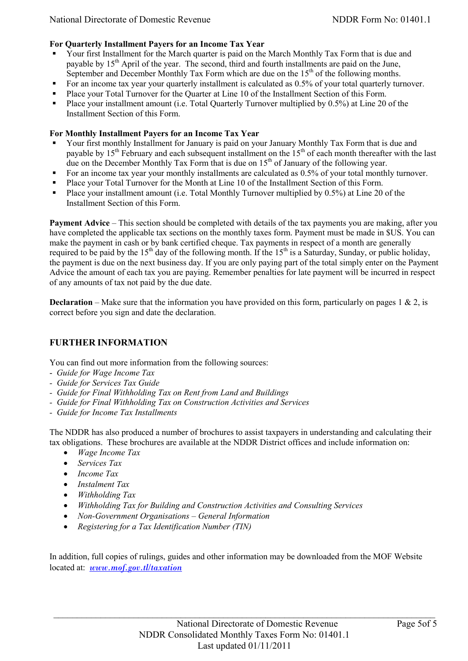#### **For Quarterly Installment Payers for an Income Tax Year**

- Your first Installment for the March quarter is paid on the March Monthly Tax Form that is due and payable by  $15<sup>th</sup>$  April of the year. The second, third and fourth installments are paid on the June, September and December Monthly Tax Form which are due on the  $15<sup>th</sup>$  of the following months.
- For an income tax year your quarterly installment is calculated as 0.5% of your total quarterly turnover.
- Place your Total Turnover for the Quarter at Line 10 of the Installment Section of this Form.
- Place your installment amount (i.e. Total Quarterly Turnover multiplied by 0.5%) at Line 20 of the Installment Section of this Form.

#### **For Monthly Installment Payers for an Income Tax Year**

- Your first monthly Installment for January is paid on your January Monthly Tax Form that is due and payable by 15<sup>th</sup> February and each subsequent installment on the 15<sup>th</sup> of each month thereafter with the last due on the December Monthly Tax Form that is due on 15<sup>th</sup> of January of the following year.
- For an income tax year your monthly installments are calculated as 0.5% of your total monthly turnover.
- Place your Total Turnover for the Month at Line 10 of the Installment Section of this Form.
- Place your installment amount (i.e. Total Monthly Turnover multiplied by 0.5%) at Line 20 of the Installment Section of this Form.

**Payment Advice** – This section should be completed with details of the tax payments you are making, after you have completed the applicable tax sections on the monthly taxes form. Payment must be made in \$US. You can make the payment in cash or by bank certified cheque. Tax payments in respect of a month are generally required to be paid by the 15<sup>th</sup> day of the following month. If the 15<sup>th</sup> is a Saturday, Sunday, or public holiday, the payment is due on the next business day. If you are only paying part of the total simply enter on the Payment Advice the amount of each tax you are paying. Remember penalties for late payment will be incurred in respect of any amounts of tax not paid by the due date.

**Declaration** – Make sure that the information you have provided on this form, particularly on pages  $1 \& 2$ , is correct before you sign and date the declaration.

# **FURTHER INFORMATION**

You can find out more information from the following sources:

- *Guide for Wage Income Tax*
- *Guide for Services Tax Guide*
- *Guide for Final Withholding Tax on Rent from Land and Buildings*
- *Guide for Final Withholding Tax on Construction Activities and Services*
- *- Guide for Income Tax Installments*

The NDDR has also produced a number of brochures to assist taxpayers in understanding and calculating their tax obligations. These brochures are available at the NDDR District offices and include information on:

- *Wage Income Tax*
- *Services Tax*
- *Income Tax*
- *Instalment Tax*
- *Withholding Tax*
- *Withholding Tax for Building and Construction Activities and Consulting Services*
- *Non-Government Organisations – General Information*
- *Registering for a Tax Identification Number (TIN)*

In addition, full copies of rulings, guides and other information may be downloaded from the MOF Website located at: *[www.mof.gov.tl/taxation](http://www.mof.gov.tl/taxation)*